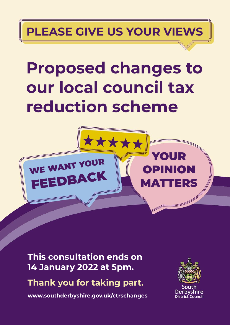# **PLEASE GIVE US YOUR VIEWS**

# **Proposed changes to our local council tax reduction scheme**



**This consultation ends on 14 January 2022 at 5pm.**

**Thank you for taking part.**

**www.southderbyshire.gov.uk/ctrschanges**

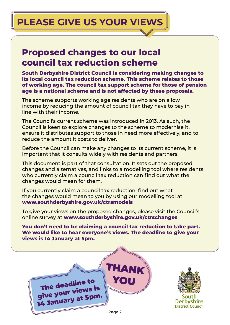# **PLEASE GIVE US YOUR VIEWS**

### **Proposed changes to our local council tax reduction scheme**

**South Derbyshire District Council is considering making changes to its local council tax reduction scheme. This scheme relates to those of working age. The council tax support scheme for those of pension age is a national scheme and is not affected by these proposals.** 

The scheme supports working age residents who are on a low income by reducing the amount of council tax they have to pay in line with their income.

The Council's current scheme was introduced in 2013. As such, the Council is keen to explore changes to the scheme to modernise it, ensure it distributes support to those in need more effectively, and to reduce the amount it costs to deliver.

Before the Council can make any changes to its current scheme, it is important that it consults widely with residents and partners.

This document is part of that consultation. It sets out the proposed changes and alternatives, and links to a modelling tool where residents who currently claim a council tax reduction can find out what the changes would mean for them.

If you currently claim a council tax reduction, find out what the changes would mean to you by using our modelling tool at **www.southderbyshire.gov.uk/ctrsmodels**

To give your views on the proposed changes, please visit the Council's online survey at **www.southderbyshire.gov.uk/ctrschanges** 

**You don't need to be claiming a council tax reduction to take part. We would like to hear everyone's views. The deadline to give your views is 14 January at 5pm.** 

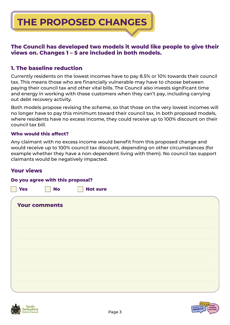**THE PROPOSED CHANGES**

#### **The Council has developed two models it would like people to give their views on. Changes 1 – 5 are included in both models.**

#### **1. The baseline reduction**

Currently residents on the lowest incomes have to pay 8.5% or 10% towards their council tax. This means those who are financially vulnerable may have to choose between paying their council tax and other vital bills. The Council also invests significant time and energy in working with these customers when they can't pay, including carrying out debt recovery activity.

Both models propose revising the scheme, so that those on the very lowest incomes will no longer have to pay this minimum toward their council tax. In both proposed models, where residents have no excess income, they could receive up to 100% discount on their council tax bill.

#### **Who would this affect?**

Any claimant with no excess income would benefit from this proposed change and would receive up to 100% council tax discount, depending on other circumstances (for example whether they have a non-dependent living with them). No council tax support claimants would be negatively impacted.

#### **Your views**

#### **Do you agree with this proposal?**

| <b>Yes</b> | <b>No</b>            | <b>Not sure</b> |  |
|------------|----------------------|-----------------|--|
|            | <b>Your comments</b> |                 |  |
|            |                      |                 |  |
|            |                      |                 |  |
|            |                      |                 |  |
|            |                      |                 |  |
|            |                      |                 |  |
|            |                      |                 |  |



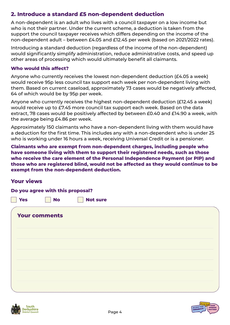#### **2. Introduce a standard £5 non-dependent deduction**

A non-dependent is an adult who lives with a council taxpayer on a low income but who is not their partner. Under the current scheme, a deduction is taken from the support the council taxpayer receives which differs depending on the income of the non-dependent adult – between £4.05 and £12.45 per week (based on 2021/2022 rates).

Introducing a standard deduction (regardless of the income of the non-dependent) would significantly simplify administration, reduce administrative costs, and speed up other areas of processing which would ultimately benefit all claimants.

#### **Who would this affect?**

Anyone who currently receives the lowest non-dependent deduction (£4.05 a week) would receive 95p less council tax support each week per non-dependent living with them. Based on current caseload, approximately 73 cases would be negatively affected, 64 of which would be by 95p per week.

Anyone who currently receives the highest non-dependent deduction (£12.45 a week) would receive up to £7.45 more council tax support each week. Based on the data extract, 78 cases would be positively affected by between £0.40 and £14.90 a week, with the average being £4.86 per week.

Approximately 150 claimants who have a non-dependent living with them would have a deduction for the first time. This includes any with a non-dependent who is under 25 who is working under 16 hours a week, receiving Universal Credit or is a pensioner.

**Claimants who are exempt from non-dependent charges, including people who have someone living with them to support their registered needs, such as those who receive the care element of the Personal Independence Payment (or PIP) and those who are registered blind, would not be affected as they would continue to be exempt from the non-dependent deduction.** 

#### **Your views**

**Do you agree with this proposal?** 

**Yes I No Not sure** 

| <b>Your comments</b> |  |  |  |
|----------------------|--|--|--|
|                      |  |  |  |
|                      |  |  |  |
|                      |  |  |  |
|                      |  |  |  |
|                      |  |  |  |
|                      |  |  |  |



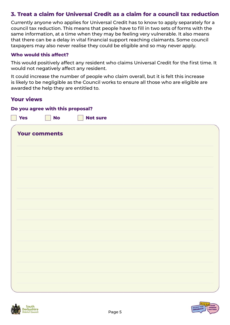#### **3. Treat a claim for Universal Credit as a claim for a council tax reduction**

Currently anyone who applies for Universal Credit has to know to apply separately for a council tax reduction. This means that people have to fill in two sets of forms with the same information, at a time when they may be feeling very vulnerable. It also means that there can be a delay in vital financial support reaching claimants. Some council taxpayers may also never realise they could be eligible and so may never apply.

#### **Who would this affect?**

**Do you agree with this proposal?** 

This would positively affect any resident who claims Universal Credit for the first time. It would not negatively affect any resident.

It could increase the number of people who claim overall, but it is felt this increase is likely to be negligible as the Council works to ensure all those who are eligible are awarded the help they are entitled to.

#### **Your views**

| Yes | $\blacksquare$ No    | T<br><b>Not sure</b> |  |  |
|-----|----------------------|----------------------|--|--|
|     | <b>Your comments</b> |                      |  |  |
|     |                      |                      |  |  |
|     |                      |                      |  |  |
|     |                      |                      |  |  |
|     |                      |                      |  |  |
|     |                      |                      |  |  |
|     |                      |                      |  |  |
|     |                      |                      |  |  |
|     |                      |                      |  |  |
|     |                      |                      |  |  |
|     |                      |                      |  |  |
|     |                      |                      |  |  |
|     |                      |                      |  |  |
|     |                      |                      |  |  |
|     |                      |                      |  |  |
|     |                      |                      |  |  |
|     |                      |                      |  |  |
|     |                      |                      |  |  |



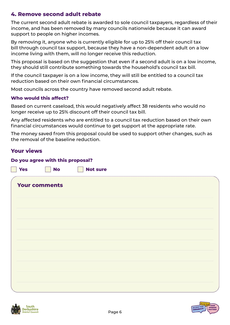#### **4. Remove second adult rebate**

The current second adult rebate is awarded to sole council taxpayers, regardless of their income, and has been removed by many councils nationwide because it can award support to people on higher incomes.

By removing it, anyone who is currently eligible for up to 25% off their council tax bill through council tax support, because they have a non-dependent adult on a low income living with them, will no longer receive this reduction.

This proposal is based on the suggestion that even if a second adult is on a low income, they should still contribute something towards the household's council tax bill.

If the council taxpayer is on a low income, they will still be entitled to a council tax reduction based on their own financial circumstances.

Most councils across the country have removed second adult rebate.

#### **Who would this affect?**

Based on current caseload, this would negatively affect 38 residents who would no longer receive up to 25% discount off their council tax bill.

Any affected residents who are entitled to a council tax reduction based on their own financial circumstances would continue to get support at the appropriate rate.

The money saved from this proposal could be used to support other changes, such as the removal of the baseline reduction.

#### **Your views**

#### **Do you agree with this proposal?**

**Example 20 Not sure** 

| <b>Your comments</b> |  |  |
|----------------------|--|--|
|                      |  |  |
|                      |  |  |
|                      |  |  |
|                      |  |  |
|                      |  |  |
|                      |  |  |
|                      |  |  |
|                      |  |  |



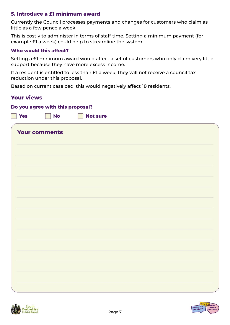#### **5. Introduce a £1 minimum award**

Currently the Council processes payments and changes for customers who claim as little as a few pence a week.

This is costly to administer in terms of staff time. Setting a minimum payment (for example £1 a week) could help to streamline the system.

#### **Who would this affect?**

Setting a £1 minimum award would affect a set of customers who only claim very little support because they have more excess income.

If a resident is entitled to less than £1 a week, they will not receive a council tax reduction under this proposal.

Based on current caseload, this would negatively affect 18 residents.

#### **Your views**

#### **Do you agree with this proposal?**

|  | e e<br>×<br>$\sim$ |  |
|--|--------------------|--|

**S** No Not sure

| <b>Your comments</b> |  |  |
|----------------------|--|--|
|                      |  |  |
|                      |  |  |
|                      |  |  |
|                      |  |  |
|                      |  |  |
|                      |  |  |
|                      |  |  |
|                      |  |  |
|                      |  |  |
|                      |  |  |
|                      |  |  |



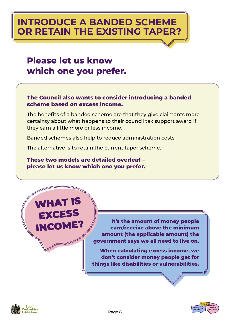## **INTRODUCE A BANDED SCHEME OR RETAIN THE EXISTING TAPER?**

### **Please let us know which one you prefer.**

#### **The Council also wants to consider introducing a banded scheme based on excess income.**

The benefits of a banded scheme are that they give claimants more certainty about what happens to their council tax support award if they earn a little more or less income.

Banded schemes also help to reduce administration costs.

The alternative is to retain the current taper scheme.

**These two models are detailed overleaf – please let us know which one you prefer.** 



**It's the amount of money people earn/receive above the minimum amount (the applicable amount) the government says we all need to live on.** 

**When calculating excess income, we don't consider money people get for things like disabilities or vulnerabilities.** 



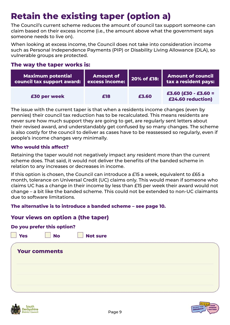# **Retain the existing taper (option a)**

The Council's current scheme reduces the amount of council tax support someone can claim based on their excess income (i.e., the amount above what the government says someone needs to live on).

When looking at excess income, the Council does not take into consideration income such as Personal Independence Payments (PIP) or Disability Living Allowance (DLA), so vulnerable groups are protected.

#### **The way the taper works is:**

| <b>Maximum potential</b>   | <b>Amount of</b> | 20% of £18: | <b>Amount of council</b>                      |
|----------------------------|------------------|-------------|-----------------------------------------------|
| council tax support award: | excess income:   |             | <b>tax a resident pays:</b>                   |
| £30 per week               | £18              | £3.60       | $£3.60$ $(E30 - £3.60 =$<br>£24.60 reduction) |

The issue with the current taper is that when a residents income changes (even by pennies) their council tax reduction has to be recalculated. This means residents are never sure how much support they are going to get, are regularly sent letters about their revised award, and understandably get confused by so many changes. The scheme is also costly for the council to deliver as cases have to be reassessed so regularly, even if people's income changes very minimally.

#### **Who would this affect?**

Retaining the taper would not negatively impact any resident more than the current scheme does. That said, it would not deliver the benefits of the banded scheme in relation to any increases or decreases in income.

If this option is chosen, the Council can introduce a £15 a week, equivalent to £65 a month, tolerance on Universal Credit (UC) claims only. This would mean if someone who claims UC has a change in their income by less than £15 per week their award would not change – a bit like the banded scheme. This could not be extended to non-UC claimants due to software limitations.

#### **The alternative is to introduce a banded scheme – see page 10.**

#### **Your views on option a (the taper)**

|            | Do you prefer this option? |                 |  |  |
|------------|----------------------------|-----------------|--|--|
| <b>Yes</b> | <b>No</b>                  | <b>Not sure</b> |  |  |
|            |                            |                 |  |  |
|            | <b>Your comments</b>       |                 |  |  |
|            |                            |                 |  |  |
|            |                            |                 |  |  |
|            |                            |                 |  |  |
|            |                            |                 |  |  |
|            |                            |                 |  |  |



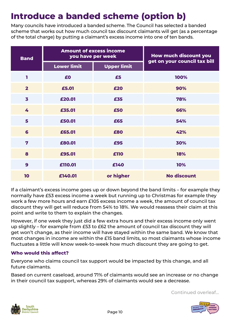## **Introduce a banded scheme (option b)**

Many councils have introduced a banded scheme. The Council has selected a banded scheme that works out how much council tax discount claimants will get (as a percentage of the total charge) by putting a claimant's excess income into one of ten bands.

| <b>Band</b>             | <b>Amount of excess income</b><br>you have per week |                    | How much discount you<br>get on your council tax bill |  |
|-------------------------|-----------------------------------------------------|--------------------|-------------------------------------------------------|--|
|                         | <b>Lower limit</b>                                  | <b>Upper limit</b> |                                                       |  |
| 1                       | £0                                                  | £5                 | 100%                                                  |  |
| $\overline{2}$          | £5.01                                               | £20                | 90%                                                   |  |
| 3                       | £20.01                                              | £35                | 78%                                                   |  |
| 4                       | £35.01                                              | £50                | 66%                                                   |  |
| 5                       | £50.01                                              | £65                | 54%                                                   |  |
| 6                       | £65.01                                              | £80                | 42%                                                   |  |
| $\overline{\mathbf{z}}$ | £80.01                                              | £95                | 30%                                                   |  |
| 8                       | £95.01                                              | £110               | <b>18%</b>                                            |  |
| 9                       | £110.01                                             | £140               | 10%                                                   |  |
| 10                      | £140.01                                             | or higher          | <b>No discount</b>                                    |  |

If a claimant's excess income goes up or down beyond the band limits – for example they normally have £53 excess income a week but running up to Christmas for example they work a few more hours and earn £105 excess income a week, the amount of council tax discount they will get will reduce from 54% to 18%. We would reassess their claim at this point and write to them to explain the changes.

However, if one week they just did a few extra hours and their excess income only went up slightly – for example from £53 to £62 the amount of council tax discount they will get won't change, as their income will have stayed within the same band. We know that most changes in income are within the £15 band limits, so most claimants whose income fluctuates a little will know week-to-week how much discount they are going to get.

#### **Who would this affect?**

Everyone who claims council tax support would be impacted by this change, and all future claimants.

Based on current caseload, around 71% of claimants would see an increase or no change in their council tax support, whereas 29% of claimants would see a decrease.

Continued overleaf...



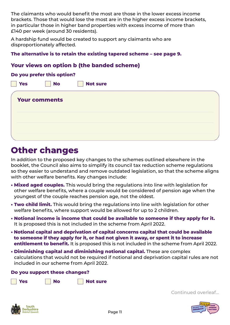The claimants who would benefit the most are those in the lower excess income brackets. Those that would lose the most are in the higher excess income brackets, in particular those in higher band properties with excess income of more than £140 per week (around 30 residents).

A hardship fund would be created to support any claimants who are disproportionately affected.

#### **The alternative is to retain the existing tapered scheme – see page 9.**

#### **Your views on option b (the banded scheme)**

#### **Do you prefer this option?**

| <b>Yes</b> | <b>No</b>            | <b>Not sure</b> |  |
|------------|----------------------|-----------------|--|
|            | <b>Your comments</b> |                 |  |
|            |                      |                 |  |
|            |                      |                 |  |
|            |                      |                 |  |
|            |                      |                 |  |

### **Other changes**

In addition to the proposed key changes to the schemes outlined elsewhere in the booklet, the Council also aims to simplify its council tax reduction scheme regulations so they easier to understand and remove outdated legislation, so that the scheme aligns with other welfare benefits. Key changes include:

- **Mixed aged couples.** This would bring the regulations into line with legislation for other welfare benefits, where a couple would be considered of pension age when the youngest of the couple reaches pension age, not the oldest.
- **Two child limit.** This would bring the regulations into line with legislation for other welfare benefits, where support would be allowed for up to 2 children.
- **Notional income is income that could be available to someone if they apply for it.** It is proposed this is not included in the scheme from April 2022.
- **Notional capital and deprivation of capital concerns capital that could be available to someone if they apply for it, or had not given it away, or spent it to increase entitlement to benefit.** It is proposed this is not included in the scheme from April 2022.
- **Diminishing capital and diminishing notional capital.** These are complex calculations that would not be required if notional and deprivation capital rules are not included in our scheme from April 2022.

#### **Do you support these changes?**



Continued overleaf...



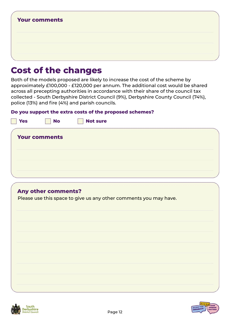| <b>Your comments</b> |  |  |
|----------------------|--|--|
|                      |  |  |
|                      |  |  |
|                      |  |  |
|                      |  |  |

### **Cost of the changes**

Both of the models proposed are likely to increase the cost of the scheme by approximately £100,000 - £120,000 per annum. The additional cost would be shared across all precepting authorities in accordance with their share of the council tax collected - South Derbyshire District Council (9%), Derbyshire County Council (74%), police (13%) and fire (4%) and parish councils.

#### **Do you support the extra costs of the proposed schemes?**

| <b>Yes</b> | <b>No</b>            | <b>Not sure</b> |  |
|------------|----------------------|-----------------|--|
|            | <b>Your comments</b> |                 |  |
|            |                      |                 |  |
|            |                      |                 |  |
|            |                      |                 |  |

#### **Any other comments?**

Please use this space to give us any other comments you may have.



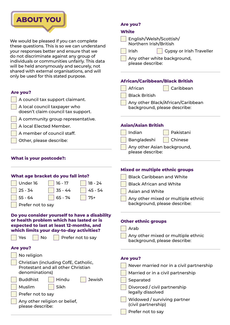

We would be pleased if you can compl these questions. This is so we can unde your responses better and ensure that do not discriminate against any group individuals or communities unfairly. Th will be held anonymously and securely shared with external organisations, and shared only be used for this stated purpose.

#### **Are you?**

| A council tax support claimant. |
|---------------------------------|
| A local council taxpayer who    |

doesn't claim council tax support.

A community group representative

A local Elected Member.

A member of council staff.

Other, please describe:

#### **What is your postcode?:**

|                                                                                      |                |                                               | Mixed or n                |
|--------------------------------------------------------------------------------------|----------------|-----------------------------------------------|---------------------------|
| What age bracket do you fall into?                                                   | <b>Black C</b> |                                               |                           |
| Under 16                                                                             | $16 - 17$      | $18 - 24$                                     | <b>Black A</b>            |
| $25 - 34$                                                                            | $35 - 44$      | 45 - 54                                       | Asian a                   |
| $55 - 64$                                                                            | $65 - 74$      | $75+$                                         | Any oth                   |
| Prefer not to say                                                                    |                |                                               | backgro                   |
| or health problem which has lasted or is                                             |                | Do you consider yourself to have a disability | <b>Other ethr</b>         |
| expected to last at least 12-months, and<br>which limits your day-to-day activities? |                |                                               | Arab                      |
| Yes<br><b>No</b>                                                                     |                | Prefer not to say                             | Any oth<br>backgro        |
| <b>Are you?</b>                                                                      |                |                                               |                           |
| No religion                                                                          |                |                                               | <b>Are you?</b>           |
| Christian (including CofE, Catholic,                                                 | Never n        |                                               |                           |
| Protestant and all other Christian<br>denominations)                                 |                |                                               | Married                   |
| <b>Buddhist</b>                                                                      | Hindu          | <b>Jewish</b>                                 |                           |
|                                                                                      |                |                                               | Separat                   |
| Muslim                                                                               | Sikh           |                                               | <b>Divorce</b><br>legally |
| Prefer not to say                                                                    |                |                                               | Widow                     |
| Any other religion or belief,<br>please describe:                                    |                |                                               | (civil pa                 |
|                                                                                      |                |                                               | Prefer r                  |

#### **Are you?**

#### **White**

| lete<br>erstand<br>: we<br>of (<br>าis data<br>y, not<br>d will | English/Welsh/Scottish/<br>Northern Irish/British<br>Irish<br><b>Gypsy or Irish Traveller</b><br>Any other white background,<br>please describe: |  |  |
|-----------------------------------------------------------------|--------------------------------------------------------------------------------------------------------------------------------------------------|--|--|
|                                                                 | <b>African/Caribbean/Black British</b>                                                                                                           |  |  |
|                                                                 | African<br>Caribbean                                                                                                                             |  |  |
|                                                                 | <b>Black British</b>                                                                                                                             |  |  |
|                                                                 | Any other Black/African/Caribbean<br>background, please describe:                                                                                |  |  |
|                                                                 |                                                                                                                                                  |  |  |
| ive.                                                            |                                                                                                                                                  |  |  |
|                                                                 | <b>Asian/Asian British</b>                                                                                                                       |  |  |
|                                                                 | Indian<br>Pakistani                                                                                                                              |  |  |
|                                                                 | Bangladeshi<br>Chinese                                                                                                                           |  |  |
|                                                                 | Any other Asian background,<br>please describe:                                                                                                  |  |  |
|                                                                 |                                                                                                                                                  |  |  |
|                                                                 |                                                                                                                                                  |  |  |
|                                                                 | <b>Mixed or multiple ethnic groups</b>                                                                                                           |  |  |
| 8 - 24                                                          | <b>Black Caribbean and White</b>                                                                                                                 |  |  |
| 45 - 54                                                         | <b>Black African and White</b><br>Asian and White                                                                                                |  |  |
| 75+                                                             |                                                                                                                                                  |  |  |
|                                                                 | Any other mixed or multiple ethnic<br>background, please describe:                                                                               |  |  |
|                                                                 |                                                                                                                                                  |  |  |
| disability<br>d or is                                           |                                                                                                                                                  |  |  |
| ;, and                                                          | <b>Other ethnic groups</b>                                                                                                                       |  |  |
| ties?                                                           | Arab                                                                                                                                             |  |  |
| say                                                             | Any other mixed or multiple ethnic<br>background, please describe:                                                                               |  |  |
|                                                                 |                                                                                                                                                  |  |  |
|                                                                 |                                                                                                                                                  |  |  |
| c,                                                              | <b>Are you?</b>                                                                                                                                  |  |  |
|                                                                 | Never married nor in a civil partnership                                                                                                         |  |  |
| Jewish                                                          | Married or in a civil partnership                                                                                                                |  |  |
|                                                                 | Separated                                                                                                                                        |  |  |
|                                                                 | Divorced / civil partnership<br>legally dissolved                                                                                                |  |  |
|                                                                 | Widowed / surviving partner                                                                                                                      |  |  |
|                                                                 | (civil partnership)                                                                                                                              |  |  |
|                                                                 | Prefer not to say                                                                                                                                |  |  |